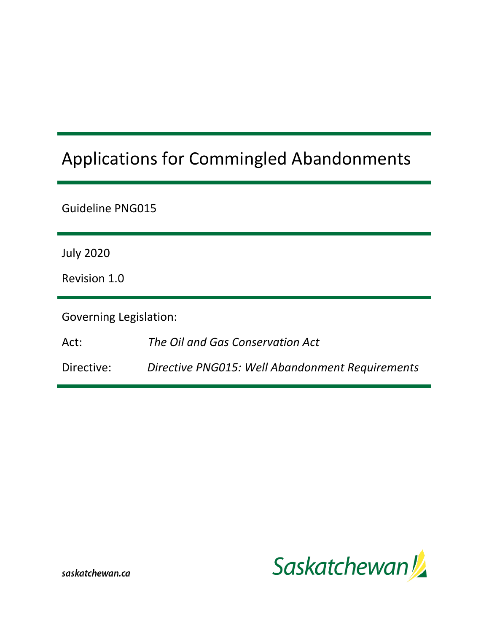# Applications for Commingled Abandonments

| Guideline PNG015                 |                                                 |  |  |  |
|----------------------------------|-------------------------------------------------|--|--|--|
| <b>July 2020</b><br>Revision 1.0 |                                                 |  |  |  |
| <b>Governing Legislation:</b>    |                                                 |  |  |  |
| Act:                             | The Oil and Gas Conservation Act                |  |  |  |
| Directive:                       | Directive PNG015: Well Abandonment Requirements |  |  |  |

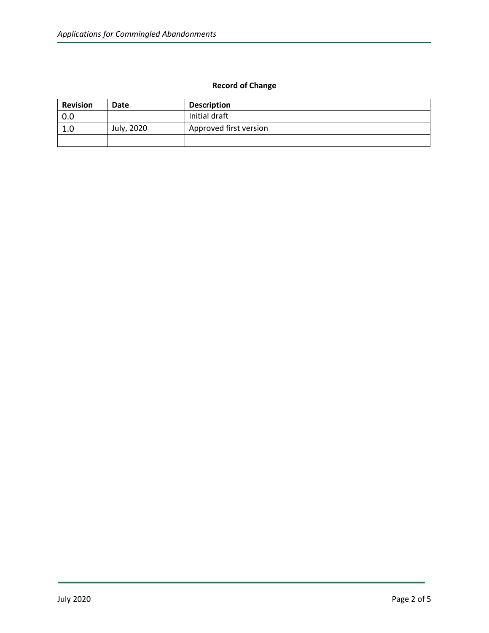### **Record of Change**

| <b>Revision</b> | Date       | <b>Description</b>     |
|-----------------|------------|------------------------|
| 0.0             |            | Initial draft          |
| 1.0             | July, 2020 | Approved first version |
|                 |            |                        |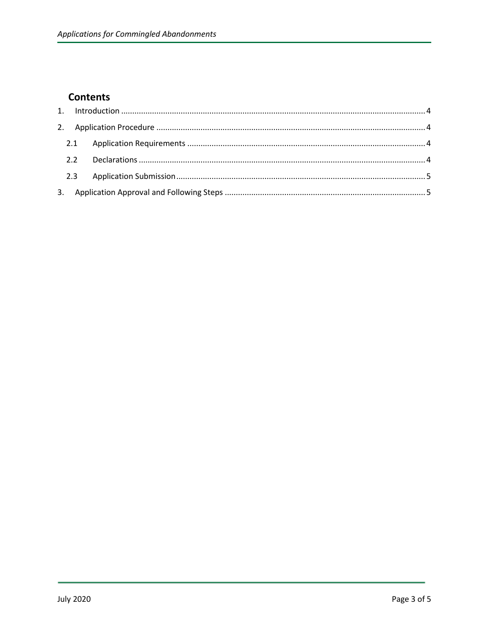## **Contents**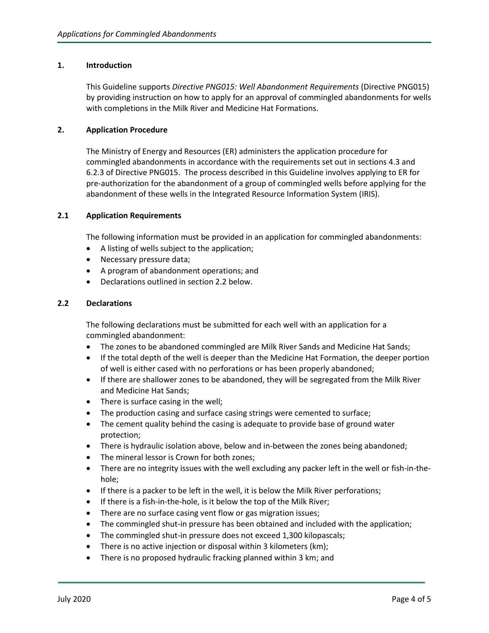#### <span id="page-3-0"></span>**1. Introduction**

This Guideline supports *Directive PNG015: Well Abandonment Requirements* (Directive PNG015) by providing instruction on how to apply for an approval of commingled abandonments for wells with completions in the Milk River and Medicine Hat Formations.

#### <span id="page-3-1"></span>**2. Application Procedure**

The Ministry of Energy and Resources (ER) administers the application procedure for commingled abandonments in accordance with the requirements set out in sections 4.3 and 6.2.3 of Directive PNG015. The process described in this Guideline involves applying to ER for pre-authorization for the abandonment of a group of commingled wells before applying for the abandonment of these wells in the Integrated Resource Information System (IRIS).

#### <span id="page-3-2"></span>**2.1 Application Requirements**

The following information must be provided in an application for commingled abandonments:

- A listing of wells subject to the application;
- Necessary pressure data;
- A program of abandonment operations; and
- Declarations outlined in section 2.2 below.

#### <span id="page-3-3"></span>**2.2 Declarations**

The following declarations must be submitted for each well with an application for a commingled abandonment:

- The zones to be abandoned commingled are Milk River Sands and Medicine Hat Sands;
- If the total depth of the well is deeper than the Medicine Hat Formation, the deeper portion of well is either cased with no perforations or has been properly abandoned;
- If there are shallower zones to be abandoned, they will be segregated from the Milk River and Medicine Hat Sands;
- There is surface casing in the well;
- The production casing and surface casing strings were cemented to surface;
- The cement quality behind the casing is adequate to provide base of ground water protection;
- There is hydraulic isolation above, below and in-between the zones being abandoned;
- The mineral lessor is Crown for both zones;
- There are no integrity issues with the well excluding any packer left in the well or fish-in-thehole;
- If there is a packer to be left in the well, it is below the Milk River perforations;
- If there is a fish-in-the-hole, is it below the top of the Milk River;
- There are no surface casing vent flow or gas migration issues;
- The commingled shut-in pressure has been obtained and included with the application;
- The commingled shut-in pressure does not exceed 1,300 kilopascals;
- There is no active injection or disposal within 3 kilometers (km);
- There is no proposed hydraulic fracking planned within 3 km; and